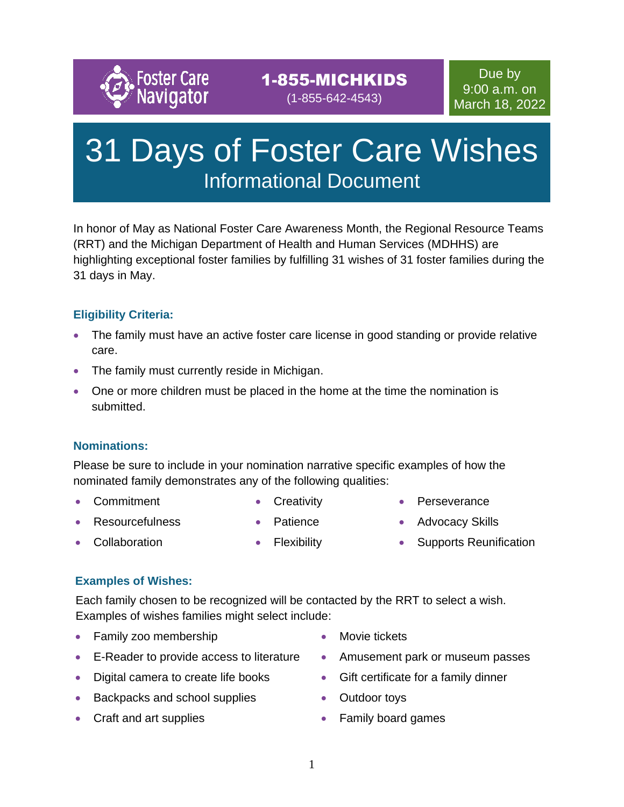

### 1-855-MICHKIDS (1-855-642-4543)

# 31 Days of Foster Care Wishes Informational Document

In honor of May as National Foster Care Awareness Month, the Regional Resource Teams (RRT) and the Michigan Department of Health and Human Services (MDHHS) are highlighting exceptional foster families by fulfilling 31 wishes of 31 foster families during the 31 days in May.

#### **Eligibility Criteria:**

- The family must have an active foster care license in good standing or provide relative care.
- The family must currently reside in Michigan.
- One or more children must be placed in the home at the time the nomination is submitted.

#### **Nominations:**

Please be sure to include in your nomination narrative specific examples of how the nominated family demonstrates any of the following qualities:

• Commitment

- Creativity
- Perseverance

- Resourcefulness **Collaboration**
- **Patience**

• Flexibility

- 
- **Advocacy Skills**
- Supports Reunification

## **Examples of Wishes:**

Each family chosen to be recognized will be contacted by the RRT to select a wish. Examples of wishes families might select include:

- Family zoo membership
- E-Reader to provide access to literature
- Digital camera to create life books
- Backpacks and school supplies
- Craft and art supplies
- Movie tickets
- Amusement park or museum passes
- Gift certificate for a family dinner
- Outdoor toys
- Family board games